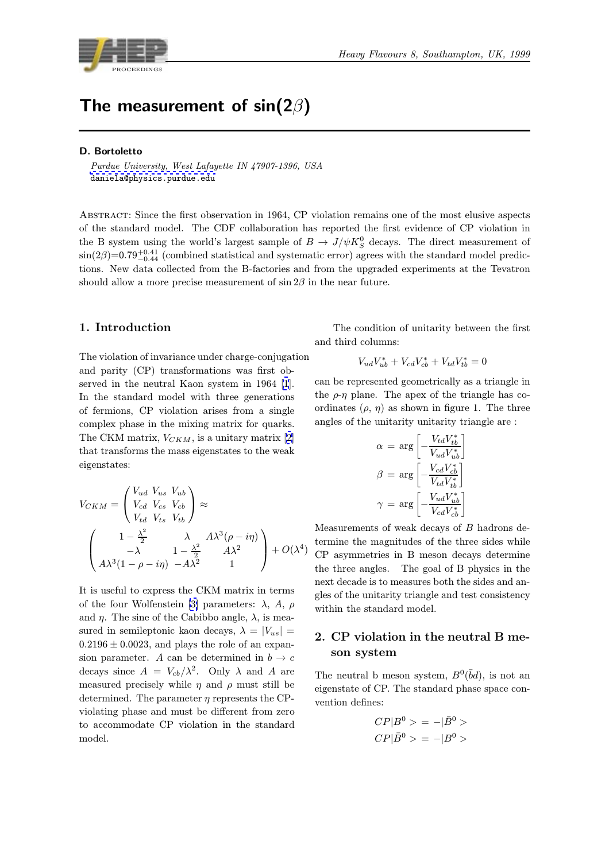

# The measurement of sin(2 $\beta$ )

#### D. Bortoletto

Purdue University, West Lafayette IN 47907-1396, USA daniela@physics.purdue.edu

Abstract: Since the first observation in 1964, CP violation remains one of the most elusive aspects of [the](mailto:daniela@physics.purdue.edu) [standard](mailto:daniela@physics.purdue.edu) [model.](mailto:daniela@physics.purdue.edu) [The](mailto:daniela@physics.purdue.edu) [C](mailto:daniela@physics.purdue.edu)DF collaboration has reported the first evidence of CP violation in the B system using the world's largest sample of  $B \to J/\psi K_S^0$  decays. The direct measurement of  $\sin(2\beta)=0.79_{-0.44}^{+0.41}$  (combined statistical and systematic error) agrees with the standard model predictions. New data collected from the B-factories and from the upgraded experiments at the Tevatron should allow a more precise measurement of  $\sin 2\beta$  in the near future.

# 1. Introduction

The violation of invariance under charge-conjugation and parity (CP) transformations was first observed in the neutral Kaon system in 1964 [1]. In the standard model with three generations of fermions, CP violation arises from a single complex phase in the mixing matrix for quarks. The CKM matrix,  $V_{CKM}$ , is a unitary matrix [\[2](#page-8-0)] that transforms the mass eigenstates to the weak eigenstates:

$$
V_{CKM} = \begin{pmatrix} V_{ud} & V_{us} & V_{ub} \\ V_{cd} & V_{cs} & V_{cb} \\ V_{td} & V_{ts} & V_{tb} \end{pmatrix} \approx
$$

$$
\begin{pmatrix} 1 - \frac{\lambda^2}{2} & \lambda & A\lambda^3(\rho - i\eta) \\ -\lambda & 1 - \frac{\lambda^2}{2} & A\lambda^2 \\ A\lambda^3(1 - \rho - i\eta) & -A\lambda^2 & 1 \end{pmatrix} + O(\lambda^4)
$$

It is useful to express the CKM matrix in terms of the four Wolfenstein [3] parameters:  $\lambda$ , A,  $\rho$ and  $\eta$ . The sine of the Cabibbo angle,  $\lambda$ , is measured in semileptonic kaon decays,  $\lambda = |V_{us}|$  $0.2196 \pm 0.0023$ , and plays the role of an expansion parameter. A can [be](#page-9-0) determined in  $b \to c$ decays since  $A = V_{cb}/\lambda^2$ . Only  $\lambda$  and A are measured precisely while  $\eta$  and  $\rho$  must still be determined. The parameter  $\eta$  represents the CPviolating phase and must be different from zero to accommodate CP violation in the standard model.

The condition of unitarity between the first and third columns:

$$
V_{ud}V_{ub}^* + V_{cd}V_{cb}^* + V_{td}V_{tb}^* = 0
$$

can be represented geometrically as a triangle in the  $\rho$ -η plane. The apex of the triangle has coordinates  $(\rho, \eta)$  as shown in figure 1. The three angles of the unitarity unitarity triangle are :

$$
\alpha = \arg \left[ -\frac{V_{td}V_{tb}^*}{V_{ud}V_{ub}^*} \right]
$$

$$
\beta = \arg \left[ -\frac{V_{cd}V_{cb}^*}{V_{td}V_{tb}^*} \right]
$$

$$
\gamma = \arg \left[ -\frac{V_{ud}V_{ub}^*}{V_{cd}V_{cb}^*} \right]
$$

Measurements of weak decays of  $B$  hadrons determine the magnitudes of the three sides while CP asymmetries in B meson decays determine the three angles. The goal of B physics in the next decade is to measures both the sides and angles of the unitarity triangle and test consistency within the standard model.

# 2. CP violation in the neutral B meson system

The neutral b meson system,  $B^0(\bar{b}d)$ , is not an eigenstate of CP. The standard phase space convention defines:

$$
CP|B^0\rangle = -|\bar{B}^0\rangle
$$
  

$$
CP|\bar{B}^0\rangle = -|B^0\rangle
$$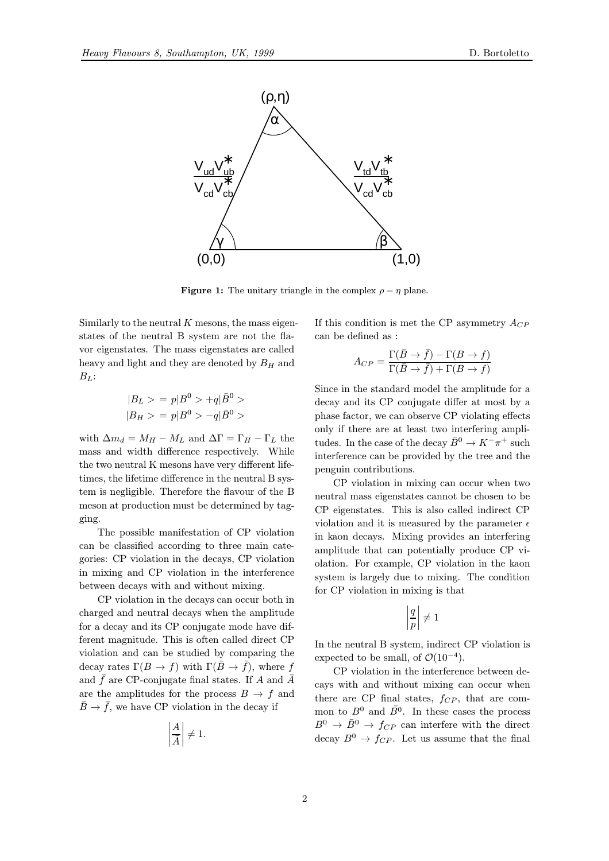

**Figure 1:** The unitary triangle in the complex  $\rho - \eta$  plane.

Similarly to the neutral  $K$  mesons, the mass eigenstates of the neutral B system are not the flavor eigenstates. The mass eigenstates are called heavy and light and they are denoted by  $B_H$  and  $B_L$ :

$$
|B_L \rangle = p|B^0 \rangle + q|\bar{B}^0 \rangle
$$
  

$$
|B_H \rangle = p|B^0 \rangle - q|\bar{B}^0 \rangle
$$

with  $\Delta m_d = M_H - M_L$  and  $\Delta \Gamma = \Gamma_H - \Gamma_L$  the mass and width difference respectively. While the two neutral K mesons have very different lifetimes, the lifetime difference in the neutral B system is negligible. Therefore the flavour of the B meson at production must be determined by tagging.

The possible manifestation of CP violation can be classified according to three main categories: CP violation in the decays, CP violation in mixing and CP violation in the interference between decays with and without mixing.

CP violation in the decays can occur both in charged and neutral decays when the amplitude for a decay and its CP conjugate mode have different magnitude. This is often called direct CP violation and can be studied by comparing the decay rates  $\Gamma(B \to f)$  with  $\Gamma(\bar{B} \to \bar{f})$ , where f and  $\bar{f}$  are CP-conjugate final states. If A and  $\bar{A}$ are the amplitudes for the process  $B \to f$  and  $\bar{B} \to \bar{f}$ , we have CP violation in the decay if

$$
\left|\frac{A}{\bar{A}}\right| \neq 1.
$$

If this condition is met the CP asymmetry  $A_{CP}$ can be defined as :

$$
A_{CP} = \frac{\Gamma(\bar{B} \to \bar{f}) - \Gamma(B \to f)}{\Gamma(\bar{B} \to \bar{f}) + \Gamma(B \to f)}
$$

Since in the standard model the amplitude for a decay and its CP conjugate differ at most by a phase factor, we can observe CP violating effects only if there are at least two interfering amplitudes. In the case of the decay  $\bar{B}^0 \to K^-\pi^+$  such interference can be provided by the tree and the penguin contributions.

CP violation in mixing can occur when two neutral mass eigenstates cannot be chosen to be CP eigenstates. This is also called indirect CP violation and it is measured by the parameter  $\epsilon$ in kaon decays. Mixing provides an interfering amplitude that can potentially produce CP violation. For example, CP violation in the kaon system is largely due to mixing. The condition for CP violation in mixing is that

$$
\left|\frac{q}{p}\right|\neq 1
$$

In the neutral B system, indirect CP violation is expected to be small, of  $\mathcal{O}(10^{-4})$ .

CP violation in the interference between decays with and without mixing can occur when there are CP final states,  $f_{CP}$ , that are common to  $B^0$  and  $\overline{B}{}^0$ . In these cases the process  $B^0 \rightarrow \bar{B}^0 \rightarrow f_{CP}$  can interfere with the direct decay  $B^0 \to f_{CP}$ . Let us assume that the final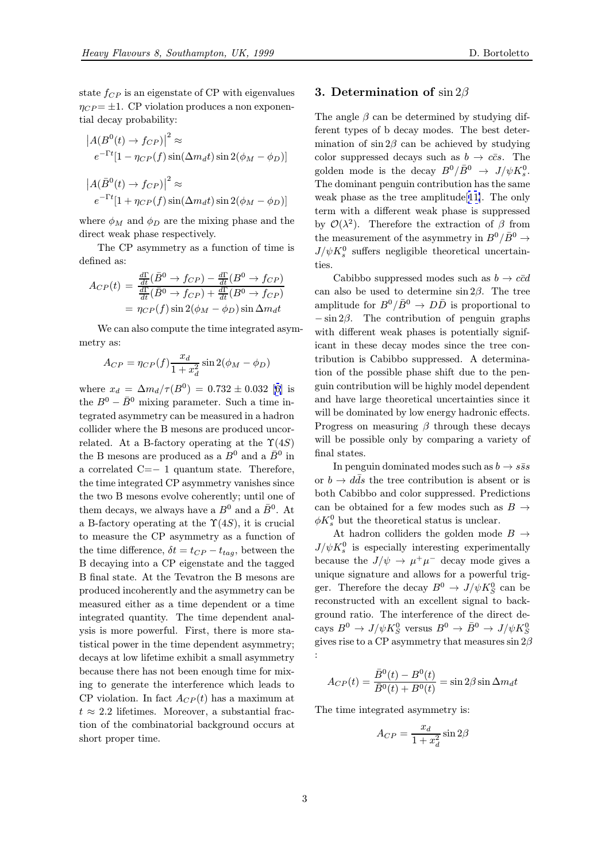state  $f_{CP}$  is an eigenstate of CP with eigenvalues  $\eta_{CP} = \pm 1$ . CP violation produces a non exponential decay probability:

$$
|A(B^{0}(t) \to f_{CP})|^{2} \approx
$$
  
\n
$$
e^{-\Gamma t}[1 - \eta_{CP}(f)\sin(\Delta m_{d}t)\sin 2(\phi_{M} - \phi_{D})]
$$
  
\n
$$
|A(\bar{B}^{0}(t) \to f_{CP})|^{2} \approx
$$
  
\n
$$
e^{-\Gamma t}[1 + \eta_{CP}(f)\sin(\Delta m_{d}t)\sin 2(\phi_{M} - \phi_{D})]
$$

where  $\phi_M$  and  $\phi_D$  are the mixing phase and the direct weak phase respectively.

The CP asymmetry as a function of time is defined as:

$$
A_{CP}(t) = \frac{\frac{d\Gamma}{dt}(\bar{B}^0 \to f_{CP}) - \frac{d\Gamma}{dt}(B^0 \to f_{CP})}{\frac{d\Gamma}{dt}(\bar{B}^0 \to f_{CP}) + \frac{d\Gamma}{dt}(B^0 \to f_{CP})}
$$

$$
= \eta_{CP}(f) \sin 2(\phi_M - \phi_D) \sin \Delta m_d t
$$

We can also compute the time integrated asymmetry as:

$$
A_{CP} = \eta_{CP}(f) \frac{x_d}{1 + x_d^2} \sin 2(\phi_M - \phi_D)
$$

where  $x_d = \Delta m_d / \tau(B^0) = 0.732 \pm 0.032$  [6] is the  $B^0 - \bar{B}^0$  mixing parameter. Such a time integrated asymmetry can be measured in a hadron collider where the B mesons are produced uncorrelated. At a B-factory operating at the  $\Upsilon(4S)$  $\Upsilon(4S)$  $\Upsilon(4S)$ the B mesons are produced as a  $B^0$  and a  $\bar{B}^0$  in a correlated C=− 1 quantum state. Therefore, the time integrated CP asymmetry vanishes since the two B mesons evolve coherently; until one of them decays, we always have a  $B^0$  and a  $\bar{B}^0$ . At a B-factory operating at the  $\Upsilon(4S)$ , it is crucial to measure the CP asymmetry as a function of the time difference,  $\delta t = t_{CP} - t_{tag}$ , between the B decaying into a CP eigenstate and the tagged B final state. At the Tevatron the B mesons are produced incoherently and the asymmetry can be measured either as a time dependent or a time integrated quantity. The time dependent analysis is more powerful. First, there is more statistical power in the time dependent asymmetry; decays at low lifetime exhibit a small asymmetry because there has not been enough time for mixing to generate the interference which leads to CP violation. In fact  $A_{CP}(t)$  has a maximum at  $t \approx 2.2$  lifetimes. Moreover, a substantial fraction of the combinatorial background occurs at short proper time.

# 3. Determination of  $\sin 2\beta$

The angle  $\beta$  can be determined by studying different types of b decay modes. The best determination of  $\sin 2\beta$  can be achieved by studying color suppressed decays such as  $b \to c\bar{c}s$ . The golden mode is the decay  $B^0/\bar{B}^0 \rightarrow J/\psi K_s^0$ . The dominant penguin contribution has the same weak phase as the tree amplitude[11]. The only term with a different weak phase is suppressed by  $\mathcal{O}(\lambda^2)$ . Therefore the extraction of  $\beta$  from the measurement of the asymmetry in  $B^0/\bar{B}^0 \rightarrow$  $J/\psi K^0_s$  suffers negligible theoreti[cal](#page-9-0) uncertainties.

Cabibbo suppressed modes such as  $b \rightarrow c\bar{c}d$ can also be used to determine  $\sin 2\beta$ . The tree amplitude for  $B^0/\bar{B}^0 \rightarrow D\bar{D}$  is proportional to  $-\sin 2\beta$ . The contribution of penguin graphs with different weak phases is potentially significant in these decay modes since the tree contribution is Cabibbo suppressed. A determination of the possible phase shift due to the penguin contribution will be highly model dependent and have large theoretical uncertainties since it will be dominated by low energy hadronic effects. Progress on measuring  $\beta$  through these decays will be possible only by comparing a variety of final states.

In penguin dominated modes such as  $b \rightarrow s\bar{s}s$ or  $b \to d\bar{d}s$  the tree contribution is absent or is both Cabibbo and color suppressed. Predictions can be obtained for a few modes such as  $B \rightarrow$  $\phi K_s^0$  but the theoretical status is unclear.

At hadron colliders the golden mode  $B \rightarrow$  $J/\psi K_s^0$  is especially interesting experimentally because the  $J/\psi \to \mu^+\mu^-$  decay mode gives a unique signature and allows for a powerful trigger. Therefore the decay  $B^0 \to J/\psi K^0_S$  can be reconstructed with an excellent signal to background ratio. The interference of the direct decays  $B^0 \to J/\psi K^0_S$  versus  $B^0 \to \bar{B}^0 \to J/\psi K^0_S$ gives rise to a CP asymmetry that measures  $\sin 2\beta$ :

$$
A_{CP}(t) = \frac{\overline{B}^0(t) - B^0(t)}{\overline{B}^0(t) + B^0(t)} = \sin 2\beta \sin \Delta m_d t
$$

The time integrated asymmetry is:

$$
A_{CP} = \frac{x_d}{1 + x_d^2} \sin 2\beta
$$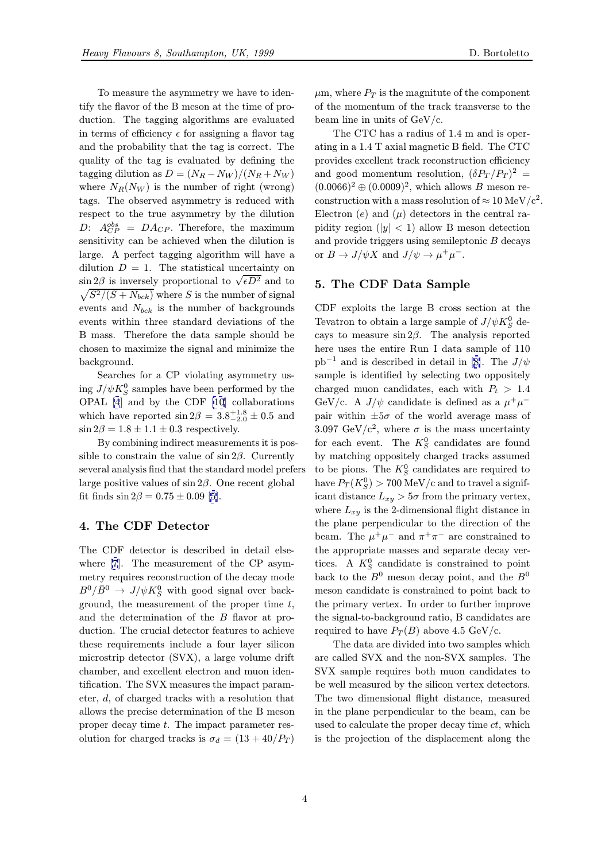To measure the asymmetry we have to identify the flavor of the B meson at the time of production. The tagging algorithms are evaluated in terms of efficiency  $\epsilon$  for assigning a flavor tag and the probability that the tag is correct. The quality of the tag is evaluated by defining the tagging dilution as  $D = (N_R - N_W)/(N_R + N_W)$ where  $N_R(N_W)$  is the number of right (wrong) tags. The observed asymmetry is reduced with respect to the true asymmetry by the dilution D:  $A_{CP}^{obs} = DA_{CP}$ . Therefore, the maximum sensitivity can be achieved when the dilution is large. A perfect tagging algorithm will have a dilution  $D = 1$ . The statistical uncertainty on  $\sin 2\beta$  is inversely proportional to  $\sqrt{\epsilon D^2}$  and to  $\sqrt{S^2/(S+N_{bck})}$  where S is the number of signal events and  $N_{bck}$  is the number of backgrounds events within three standard deviations of the B mass. Therefore the data sample should be chosen to maximize the signal and minimize the background.

Searches for a CP violating asymmetry using  $J/\psi K^0_S$  samples have been performed by the OPAL [4] and by the CDF [10] collaborations which have reported  $\sin 2\beta = 3.8^{+1.8}_{-2.0} \pm 0.5$  and  $\sin 2\beta = 1.8 \pm 1.1 \pm 0.3$  respectively.

By combining indirect measurements it is possible to [c](#page-9-0)onstrain the value of  $\sin 2\beta$ . Currently several analysis find that the standard model prefers large positive values of  $\sin 2\beta$ . One recent global fit finds  $\sin 2\beta = 0.75 \pm 0.09$  [5].

# 4. The CDF Detector

The CDF detector is descri[be](#page-9-0)d in detail elsewhere [7]. The measurement of the CP asymmetry requires reconstruction of the decay mode  $B^0/\bar{B}^0 \rightarrow J/\psi K^0_S$  with good signal over background, the measurement of the proper time  $t$ , and th[e](#page-9-0) determination of the B flavor at production. The crucial detector features to achieve these requirements include a four layer silicon microstrip detector (SVX), a large volume drift chamber, and excellent electron and muon identification. The SVX measures the impact parameter, d, of charged tracks with a resolution that allows the precise determination of the B meson proper decay time t. The impact parameter resolution for charged tracks is  $\sigma_d = (13 + 40/P_T)$   $\mu$ m, where  $P_T$  is the magnitute of the component of the momentum of the track transverse to the beam line in units of GeV/c.

The CTC has a radius of 1.4 m and is operating in a 1.4 T axial magnetic B field. The CTC provides excellent track reconstruction efficiency and good momentum resolution,  $(\delta P_T/P_T)^2$  =  $(0.0066)^2 \oplus (0.0009)^2$ , which allows B meson reconstruction with a mass resolution of  $\approx 10 \text{ MeV}/c^2$ . Electron  $(e)$  and  $(\mu)$  detectors in the central rapidity region ( $|y| < 1$ ) allow B meson detection and provide triggers using semileptonic B decays or  $B \to J/\psi X$  and  $J/\psi \to \mu^+ \mu^-$ .

# 5. The CDF Data Sample

CDF exploits the large B cross section at the Tevatron to obtain a large sample of  $J/\psi K^0_S$  decays to measure  $\sin 2\beta$ . The analysis reported here uses the entire Run I data sample of 110  $pb^{-1}$  and is described in detail in [8]. The  $J/\psi$ sample is identified by selecting two oppositely charged muon candidates, each with  $P_t > 1.4$ GeV/c. A  $J/\psi$  candidate is defined as a  $\mu^+\mu^$ pair within  $\pm 5\sigma$  of the world ave[ra](#page-9-0)ge mass of 3.097 GeV/c<sup>2</sup>, where  $\sigma$  is the mass uncertainty for each event. The  $K_S^0$  candidates are found by matching oppositely charged tracks assumed to be pions. The  $K_S^0$  candidates are required to have  $P_T(K_S^0) > 700 \text{ MeV/c}$  and to travel a significant distance  $L_{xy} > 5\sigma$  from the primary vertex, where  $L_{xy}$  is the 2-dimensional flight distance in the plane perpendicular to the direction of the beam. The  $\mu^+\mu^-$  and  $\pi^+\pi^-$  are constrained to the appropriate masses and separate decay vertices. A  $K_S^0$  candidate is constrained to point back to the  $B^0$  meson decay point, and the  $B^0$ meson candidate is constrained to point back to the primary vertex. In order to further improve the signal-to-background ratio, B candidates are required to have  $P_T(B)$  above 4.5 GeV/c.

The data are divided into two samples which are called SVX and the non-SVX samples. The SVX sample requires both muon candidates to be well measured by the silicon vertex detectors. The two dimensional flight distance, measured in the plane perpendicular to the beam, can be used to calculate the proper decay time  $ct$ , which is the projection of the displacement along the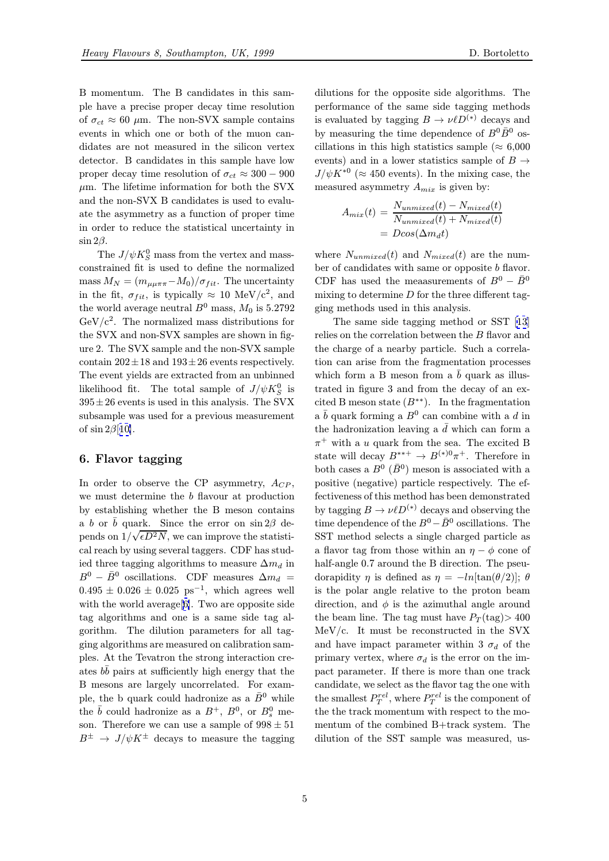B momentum. The B candidates in this sample have a precise proper decay time resolution of  $\sigma_{ct} \approx 60 \mu \text{m}$ . The non-SVX sample contains events in which one or both of the muon candidates are not measured in the silicon vertex detector. B candidates in this sample have low proper decay time resolution of  $\sigma_{ct} \approx 300 - 900$  $\mu$ m. The lifetime information for both the SVX and the non-SVX B candidates is used to evaluate the asymmetry as a function of proper time in order to reduce the statistical uncertainty in  $\sin 2\beta$ .

The  $J/\psi K^0_S$  mass from the vertex and massconstrained fit is used to define the normalized mass  $M_N = (m_{\mu\mu\pi\pi} - M_0)/\sigma_{fit}$ . The uncertainty in the fit,  $\sigma_{fit}$ , is typically  $\approx 10 \text{ MeV}/c^2$ , and the world average neutral  $B^0$  mass,  $M_0$  is 5.2792  $GeV/c^2$ . The normalized mass distributions for the SVX and non-SVX samples are shown in figure 2. The SVX sample and the non-SVX sample contain  $202 \pm 18$  and  $193 \pm 26$  events respectively. The event yields are extracted from an unbinned likelihood fit. The total sample of  $J/\psi K_S^0$  is  $395 \pm 26$  events is used in this analysis. The SVX subsample was used for a previous measurement of  $\sin 2\beta$ [10].

# 6. Flavor tagging

In order [to](#page-9-0) observe the CP asymmetry,  $A_{CP}$ , we must determine the b flavour at production by establishing whether the B meson contains a b or  $\bar{b}$  quark. Since the error on sin 2 $\beta$  depends on  $1/\sqrt{\epsilon D^2 N}$ , we can improve the statistical reach by using several taggers. CDF has studied three tagging algorithms to measure  $\Delta m_d$  in  $B^0 - \bar{B}^0$  oscillations. CDF measures  $\Delta m_d =$  $0.495 \pm 0.026 \pm 0.025$  ps<sup>-1</sup>, which agrees well with the world average [6]. Two are opposite side tag algorithms and one is a same side tag algorithm. The dilution parameters for all tagging algorithms are measured on calibration samples. At the Tevatron t[he](#page-9-0) strong interaction creates  $b\bar{b}$  pairs at sufficiently high energy that the B mesons are largely uncorrelated. For example, the b quark could hadronize as a  $\bar{B}^0$  while the  $\bar{b}$  could hadronize as a  $B^+$ ,  $B^0$ , or  $B^0_s$  meson. Therefore we can use a sample of  $998 \pm 51$  $B^{\pm} \rightarrow J/\psi K^{\pm}$  decays to measure the tagging

dilutions for the opposite side algorithms. The performance of the same side tagging methods is evaluated by tagging  $B \to \nu \ell D^{(*)}$  decays and by measuring the time dependence of  $B^0\bar{B}^0$  oscillations in this high statistics sample ( $\approx 6,000$ ) events) and in a lower statistics sample of  $B \rightarrow$  $J/\psi K^{*0}$  ( $\approx 450$  events). In the mixing case, the measured asymmetry  $A_{mix}$  is given by:

$$
A_{mix}(t) = \frac{N_{unmixed}(t) - N_{mixed}(t)}{N_{unmixed}(t) + N_{mixed}(t)}
$$

$$
= D\cos(\Delta m_d t)
$$

where  $N_{unmixed}(t)$  and  $N_{mixed}(t)$  are the number of candidates with same or opposite  $b$  flavor. CDF has used the meaasurements of  $B^0 - \bar{B}^0$ mixing to determine  $D$  for the three different tagging methods used in this analysis.

The same side tagging method or SST [13] relies on the correlation between the B flavor and the charge of a nearby particle. Such a correlation can arise from the fragmentation processes which form a B meson from a  $b$  quark as il[lus](#page-9-0)trated in figure 3 and from the decay of an excited B meson state  $(B^{**})$ . In the fragmentation a  $\bar{b}$  quark forming a  $B^0$  can combine with a d in the hadronization leaving a  $\bar{d}$  which can form a  $\pi^+$  with a u quark from the sea. The excited B state will decay  $B^{***} \to B^{(*)0} \pi^+$ . Therefore in both cases a  $B^0$  ( $\bar{B}^0$ ) meson is associated with a positive (negative) particle respectively. The effectiveness of this method has been demonstrated by tagging  $B \to \nu \ell D^{(*)}$  decays and observing the time dependence of the  $B^0 - \bar{B}^0$  oscillations. The SST method selects a single charged particle as a flavor tag from those within an  $\eta - \phi$  cone of half-angle 0.7 around the B direction. The pseudorapidity  $\eta$  is defined as  $\eta = -\ln[\tan(\theta/2)]$ ;  $\theta$ is the polar angle relative to the proton beam direction, and  $\phi$  is the azimuthal angle around the beam line. The tag must have  $P_T(\text{tag}) > 400$ MeV/c. It must be reconstructed in the SVX and have impact parameter within 3  $\sigma_d$  of the primary vertex, where  $\sigma_d$  is the error on the impact parameter. If there is more than one track candidate, we select as the flavor tag the one with the smallest  $P_T^{rel}$ , where  $P_T^{rel}$  is the component of the the track momentum with respect to the momentum of the combined B+track system. The dilution of the SST sample was measured, us-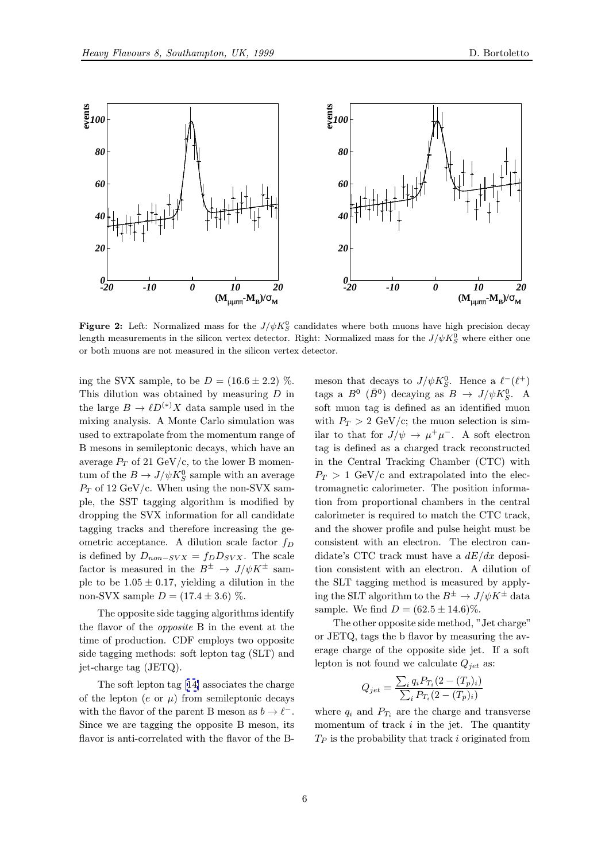

**Figure 2:** Left: Normalized mass for the  $J/\psi K_S^0$  candidates where both muons have high precision decay length measurements in the silicon vertex detector. Right: Normalized mass for the  $J/\psi K^0_S$  where either one or both muons are not measured in the silicon vertex detector.

ing the SVX sample, to be  $D = (16.6 \pm 2.2)$  %. This dilution was obtained by measuring  $D$  in the large  $B \to \ell D^{(*)} X$  data sample used in the mixing analysis. A Monte Carlo simulation was used to extrapolate from the momentum range of B mesons in semileptonic decays, which have an average  $P_T$  of 21 GeV/c, to the lower B momentum of the  $B\to J/\psi K^0_S$  sample with an average  $P_T$  of 12 GeV/c. When using the non-SVX sample, the SST tagging algorithm is modified by dropping the SVX information for all candidate tagging tracks and therefore increasing the geometric acceptance. A dilution scale factor  $f_D$ is defined by  $D_{non-SVX} = f_D D_{SVX}$ . The scale factor is measured in the  $B^{\pm} \rightarrow J/\psi K^{\pm}$  sample to be  $1.05 \pm 0.17$ , yielding a dilution in the non-SVX sample  $D = (17.4 \pm 3.6)$  %.

The opposite side tagging algorithms identify the flavor of the opposite B in the event at the time of production. CDF employs two opposite side tagging methods: soft lepton tag (SLT) and jet-charge tag (JETQ).

The soft lepton tag [14] associates the charge of the lepton (e or  $\mu$ ) from semileptonic decays with the flavor of the parent B meson as  $b \to \ell^-$ . Since we are tagging the opposite B meson, its flavor is anti-correlated [wit](#page-9-0)h the flavor of the B-

meson that decays to  $J/\psi K_S^0$ . Hence a  $\ell^-(\ell^+)$ tags a  $B^0$  ( $\bar{B}^0$ ) decaying as  $B \to J/\psi K_S^0$ . A soft muon tag is defined as an identified muon with  $P_T > 2$  GeV/c; the muon selection is similar to that for  $J/\psi \to \mu^+\mu^-$ . A soft electron tag is defined as a charged track reconstructed in the Central Tracking Chamber (CTC) with  $P_T > 1$  GeV/c and extrapolated into the electromagnetic calorimeter. The position information from proportional chambers in the central calorimeter is required to match the CTC track, and the shower profile and pulse height must be consistent with an electron. The electron candidate's CTC track must have a  $dE/dx$  deposition consistent with an electron. A dilution of the SLT tagging method is measured by applying the SLT algorithm to the  $B^{\pm} \to J/\psi K^{\pm}$  data sample. We find  $D = (62.5 \pm 14.6)\%$ .

The other opposite side method, "Jet charge" or JETQ, tags the b flavor by measuring the average charge of the opposite side jet. If a soft lepton is not found we calculate  $Q_{jet}$  as:

$$
Q_{jet} = \frac{\sum_{i} q_{i} P_{T_{i}} (2 - (T_{p})_{i})}{\sum_{i} P_{T_{i}} (2 - (T_{p})_{i})}
$$

where  $q_i$  and  $P_{T_i}$  are the charge and transverse momentum of track  $i$  in the jet. The quantity  $T_P$  is the probability that track i originated from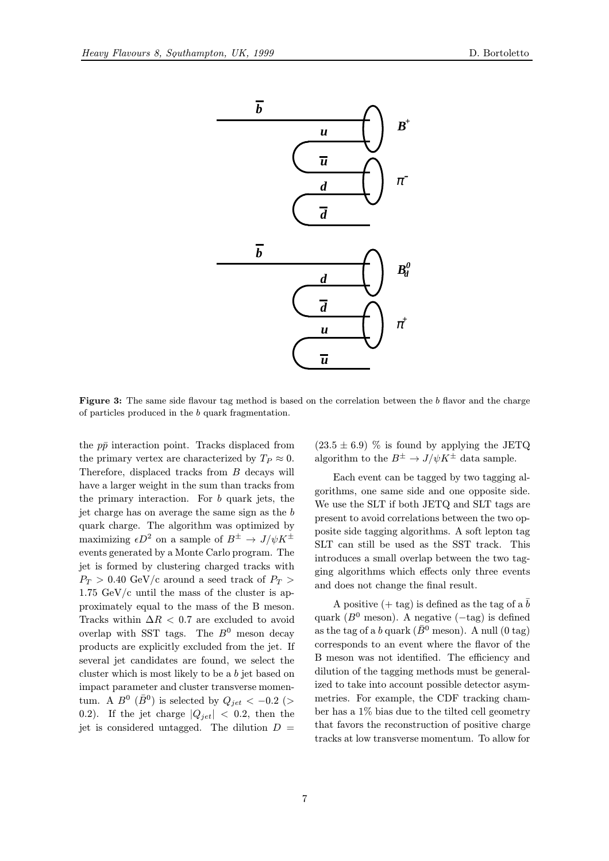

Figure 3: The same side flavour tag method is based on the correlation between the b flavor and the charge of particles produced in the b quark fragmentation.

the  $p\bar{p}$  interaction point. Tracks displaced from the primary vertex are characterized by  $T_P \approx 0$ . Therefore, displaced tracks from B decays will have a larger weight in the sum than tracks from the primary interaction. For b quark jets, the jet charge has on average the same sign as the b quark charge. The algorithm was optimized by maximizing  $\epsilon D^2$  on a sample of  $B^{\pm} \to J/\psi K^{\pm}$ events generated by a Monte Carlo program. The jet is formed by clustering charged tracks with  $P_T > 0.40$  GeV/c around a seed track of  $P_T >$ 1.75 GeV/c until the mass of the cluster is approximately equal to the mass of the B meson. Tracks within  $\Delta R$  < 0.7 are excluded to avoid overlap with SST tags. The  $B^0$  meson decay products are explicitly excluded from the jet. If several jet candidates are found, we select the cluster which is most likely to be a b jet based on impact parameter and cluster transverse momentum. A  $B^0$  ( $\bar{B}^0$ ) is selected by  $Q_{jet} < -0.2$  (> 0.2). If the jet charge  $|Q_{jet}| < 0.2$ , then the jet is considered untagged. The dilution  $D =$ 

 $(23.5 \pm 6.9)$  % is found by applying the JETQ algorithm to the  $B^{\pm} \to J/\psi K^{\pm}$  data sample.

Each event can be tagged by two tagging algorithms, one same side and one opposite side. We use the SLT if both JETQ and SLT tags are present to avoid correlations between the two opposite side tagging algorithms. A soft lepton tag SLT can still be used as the SST track. This introduces a small overlap between the two tagging algorithms which effects only three events and does not change the final result.

A positive  $(+$  tag) is defined as the tag of a  $\bar{b}$ quark ( $B^0$  meson). A negative ( $-\text{tag}$ ) is defined as the tag of a b quark ( $\bar{B}^0$  meson). A null (0 tag) corresponds to an event where the flavor of the B meson was not identified. The efficiency and dilution of the tagging methods must be generalized to take into account possible detector asymmetries. For example, the CDF tracking chamber has a 1% bias due to the tilted cell geometry that favors the reconstruction of positive charge tracks at low transverse momentum. To allow for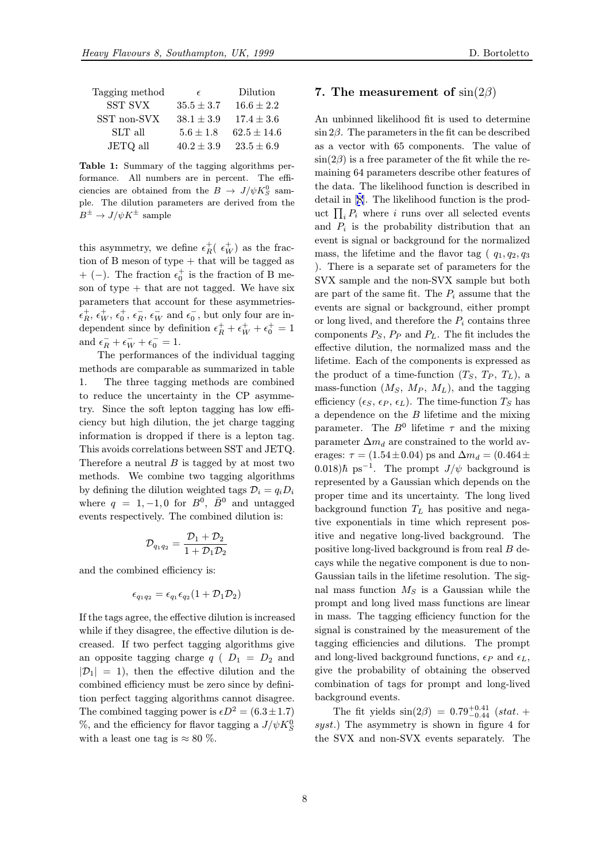| Tagging method | E              | Dilution        |
|----------------|----------------|-----------------|
| <b>SST SVX</b> | $35.5 \pm 3.7$ | $16.6 \pm 2.2$  |
| SST non-SVX    | $38.1 \pm 3.9$ | $17.4 \pm 3.6$  |
| SLT all        | $5.6 \pm 1.8$  | $62.5 \pm 14.6$ |
| JETQ all       | $40.2 \pm 3.9$ | $23.5 \pm 6.9$  |
|                |                |                 |

Table 1: Summary of the tagging algorithms performance. All numbers are in percent. The efficiencies are obtained from the  $B \to J/\psi K_S^0$  sample. The dilution parameters are derived from the  $B^{\pm} \to J/\psi K^{\pm}$  sample

this asymmetry, we define  $\epsilon_R^+$  ( $\epsilon_W^+$ ) as the fraction of B meson of type + that will be tagged as + (−). The fraction  $\epsilon_0^+$  is the fraction of B meson of type  $+$  that are not tagged. We have six parameters that account for these asymmetries-  $\epsilon_R^+$ ,  $\epsilon_W^+$ ,  $\epsilon_R^-$ ,  $\epsilon_W^-$  and  $\epsilon_0^-$ , but only four are independent since by definition  $\epsilon_R^+ + \epsilon_W^+ + \epsilon_0^+ = 1$ and  $\epsilon_R^- + \epsilon_W^- + \epsilon_0^- = 1$ .

The performances of the individual tagging methods are comparable as summarized in table 1. The three tagging methods are combined to reduce the uncertainty in the CP asymmetry. Since the soft lepton tagging has low efficiency but high dilution, the jet charge tagging information is dropped if there is a lepton tag. This avoids correlations between SST and JETQ. Therefore a neutral  $B$  is tagged by at most two methods. We combine two tagging algorithms by defining the dilution weighted tags  $\mathcal{D}_i = q_i D_i$ where  $q = 1, -1, 0$  for  $B^0$ ,  $\bar{B}^0$  and untagged events respectively. The combined dilution is:

$$
\mathcal{D}_{q_1q_2} = \frac{\mathcal{D}_1 + \mathcal{D}_2}{1 + \mathcal{D}_1\mathcal{D}_2}
$$

and the combined efficiency is:

$$
\epsilon_{q_1q_2}=\epsilon_{q_1}\epsilon_{q_2}(1+\mathcal{D}_1\mathcal{D}_2)
$$

If the tags agree, the effective dilution is increased while if they disagree, the effective dilution is decreased. If two perfect tagging algorithms give an opposite tagging charge  $q$  (  $D_1 = D_2$  and  $|\mathcal{D}_1| = 1$ , then the effective dilution and the combined efficiency must be zero since by definition perfect tagging algorithms cannot disagree. The combined tagging power is  $\epsilon D^2 = (6.3 \pm 1.7)$ %, and the efficiency for flavor tagging a  $J/\psi K^0_S$ with a least one tag is  $\approx 80\%$ .

# 7. The measurement of  $\sin(2\beta)$

An unbinned likelihood fit is used to determine  $\sin 2\beta$ . The parameters in the fit can be described as a vector with 65 components. The value of  $\sin(2\beta)$  is a free parameter of the fit while the remaining 64 parameters describe other features of the data. The likelihood function is described in detail in [8]. The likelihood function is the product  $\prod_i P_i$  where i runs over all selected events and  $P_i$  is the probability distribution that an event is signal or background for the normalized mass, th[e l](#page-9-0)ifetime and the flavor tag ( $q_1, q_2, q_3$ ) ). There is a separate set of parameters for the SVX sample and the non-SVX sample but both are part of the same fit. The  $P_i$  assume that the events are signal or background, either prompt or long lived, and therefore the  $P_i$  contains three components  $P_S$ ,  $P_P$  and  $P_L$ . The fit includes the effective dilution, the normalized mass and the lifetime. Each of the components is expressed as the product of a time-function  $(T_S, T_P, T_L)$ , a mass-function  $(M_S, M_P, M_L)$ , and the tagging efficiency ( $\epsilon_S$ ,  $\epsilon_P$ ,  $\epsilon_L$ ). The time-function  $T_S$  has a dependence on the B lifetime and the mixing parameter. The  $B^0$  lifetime  $\tau$  and the mixing parameter  $\Delta m_d$  are constrained to the world averages:  $\tau = (1.54 \pm 0.04)$  ps and  $\Delta m_d = (0.464 \pm 0.04)$ 0.018) $\hbar$  ps<sup>-1</sup>. The prompt  $J/\psi$  background is represented by a Gaussian which depends on the proper time and its uncertainty. The long lived background function  $T<sub>L</sub>$  has positive and negative exponentials in time which represent positive and negative long-lived background. The positive long-lived background is from real B decays while the negative component is due to non-Gaussian tails in the lifetime resolution. The signal mass function  $M<sub>S</sub>$  is a Gaussian while the prompt and long lived mass functions are linear in mass. The tagging efficiency function for the signal is constrained by the measurement of the tagging efficiencies and dilutions. The prompt and long-lived background functions,  $\epsilon_P$  and  $\epsilon_L$ , give the probability of obtaining the observed combination of tags for prompt and long-lived background events.

The fit yields  $\sin(2\beta) = 0.79_{-0.44}^{+0.41}$  (stat. + syst.) The asymmetry is shown in figure 4 for the SVX and non-SVX events separately. The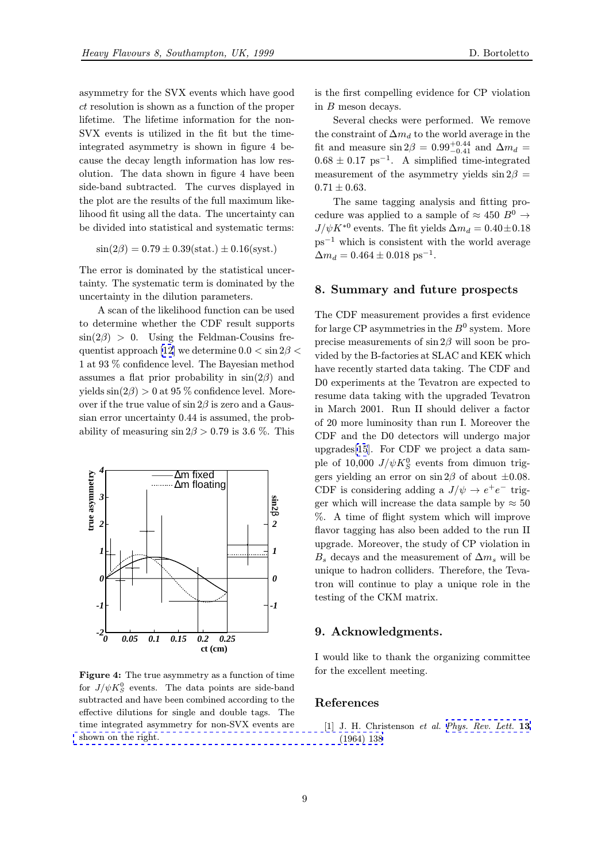<span id="page-8-0"></span>asymmetry for the SVX events which have good ct resolution is shown as a function of the proper lifetime. The lifetime information for the non-SVX events is utilized in the fit but the timeintegrated asymmetry is shown in figure 4 because the decay length information has low resolution. The data shown in figure 4 have been side-band subtracted. The curves displayed in the plot are the results of the full maximum likelihood fit using all the data. The uncertainty can be divided into statistical and systematic terms:

$$
\sin(2\beta) = 0.79 \pm 0.39 \text{(stat.)} \pm 0.16 \text{(syst.)}
$$

The error is dominated by the statistical uncertainty. The systematic term is dominated by the uncertainty in the dilution parameters.

A scan of the likelihood function can be used to determine whether the CDF result supports  $\sin(2\beta) > 0$ . Using the Feldman-Cousins frequentist approach [12] we determine  $0.0 < \sin 2\beta <$ 1 at 93 % confidence level. The Bayesian method assumes a flat prior probability in  $sin(2\beta)$  and yields  $\sin(2\beta) > 0$  at 95 % confidence level. Moreover if the true val[ue o](#page-9-0)f  $\sin 2\beta$  is zero and a Gaussian error uncertainty 0.44 is assumed, the probability of measuring  $\sin 2\beta > 0.79$  is 3.6 %. This



Figure 4: The true asymmetry as a function of time for  $J/\psi K_S^0$  events. The data points are side-band subtracted and have been combined according to the effective dilutions for single and double tags. The time integrated asymmetry for non-SVX events are shown on the right.

is the first compelling evidence for CP violation in B meson decays.

Several checks were performed. We remove the constraint of  $\Delta m_d$  to the world average in the fit and measure  $\sin 2\beta = 0.99_{-0.41}^{+0.44}$  and  $\Delta m_d =$  $0.68 \pm 0.17$  ps<sup>-1</sup>. A simplified time-integrated measurement of the asymmetry yields  $\sin 2\beta =$  $0.71 \pm 0.63$ .

The same tagging analysis and fitting procedure was applied to a sample of  $\approx 450 B^0 \rightarrow$  $J/\psi K^{*0}$  events. The fit yields  $\Delta m_d = 0.40 \pm 0.18$  $ps^{-1}$  which is consistent with the world average  $\Delta m_d = 0.464 \pm 0.018 \text{ ps}^{-1}.$ 

# 8. Summary and future prospects

The CDF measurement provides a first evidence for large CP asymmetries in the  $B^0$  system. More precise measurements of  $\sin 2\beta$  will soon be provided by the B-factories at SLAC and KEK which have recently started data taking. The CDF and D0 experiments at the Tevatron are expected to resume data taking with the upgraded Tevatron in March 2001. Run II should deliver a factor of 20 more luminosity than run I. Moreover the CDF and the D0 detectors will undergo major upgrades[15]. For CDF we project a data sample of 10,000  $J/\psi K^0_S$  events from dimuon triggers yielding an error on  $\sin 2\beta$  of about  $\pm 0.08$ . CDF is considering adding a  $J/\psi \rightarrow e^+e^-$  trigger whic[h w](#page-9-0)ill increase the data sample by  $\approx 50$ %. A time of flight system which will improve flavor tagging has also been added to the run II upgrade. Moreover, the study of CP violation in  $B_s$  decays and the measurement of  $\Delta m_s$  will be unique to hadron colliders. Therefore, the Tevatron will continue to play a unique role in the testing of the CKM matrix.

# 9. Acknowledgments.

I would like to thank the organizing committee for the excellent meeting.

# References

[1] J. H. Christenson et al. Phys. Rev. Lett. 13 (1964) 138